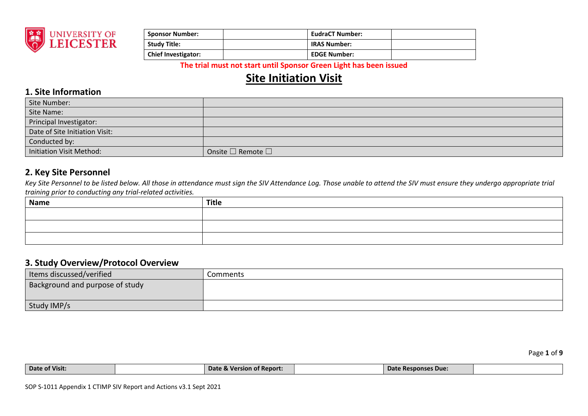

| <b>Sponsor Number:</b>     | <b>EudraCT Number:</b> |  |
|----------------------------|------------------------|--|
| <b>Study Title:</b>        | <b>IRAS Number:</b>    |  |
| <b>Chief Investigator:</b> | <b>EDGE Number:</b>    |  |

# **Site Initiation Visit**

### **1. Site Information**

| Site Number:                   |                                   |
|--------------------------------|-----------------------------------|
| Site Name:                     |                                   |
| Principal Investigator:        |                                   |
| Date of Site Initiation Visit: |                                   |
| Conducted by:                  |                                   |
| Initiation Visit Method:       | Onsite $\square$ Remote $\square$ |

### **2. Key Site Personnel**

Key Site Personnel to be listed below. All those in attendance must sign the SIV Attendance Log. Those unable to attend the SIV must ensure they undergo appropriate trial *training prior to conducting any trial-related activities.* 

| <b>Title</b> |
|--------------|
|              |
|              |
|              |
|              |

### **3. Study Overview/Protocol Overview**

| Items discussed/verified        | Comments |
|---------------------------------|----------|
| Background and purpose of study |          |
|                                 |          |
| Study IMP/s                     |          |

| Date of Visit: | <b>Date &amp; Version of Report:</b> | Date Responses Due: |  |
|----------------|--------------------------------------|---------------------|--|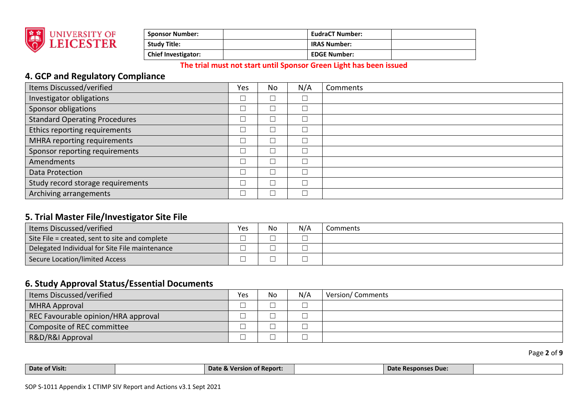

| <b>Sponsor Number:</b>     | <b>EudraCT Number:</b> |  |
|----------------------------|------------------------|--|
| <b>Study Title:</b>        | <b>IRAS Number:</b>    |  |
| <b>Chief Investigator:</b> | <b>EDGE Number:</b>    |  |

## **4. GCP and Regulatory Compliance**

| Items Discussed/verified             | Yes    | No     | N/A | Comments |
|--------------------------------------|--------|--------|-----|----------|
| Investigator obligations             | └      | $\Box$ |     |          |
| Sponsor obligations                  |        |        |     |          |
| <b>Standard Operating Procedures</b> |        | $\Box$ |     |          |
| Ethics reporting requirements        |        |        |     |          |
| MHRA reporting requirements          |        | └      |     |          |
| Sponsor reporting requirements       |        | $\Box$ |     |          |
| Amendments                           |        | $\Box$ |     |          |
| Data Protection                      | $\Box$ | $\Box$ |     |          |
| Study record storage requirements    |        | $\Box$ |     |          |
| Archiving arrangements               | $\Box$ | $\Box$ |     |          |

### **5. Trial Master File/Investigator Site File**

| Items Discussed/verified                       | Yes | No | N/A | Comments |
|------------------------------------------------|-----|----|-----|----------|
| Site File = created, sent to site and complete |     |    |     |          |
| Delegated Individual for Site File maintenance |     |    |     |          |
| Secure Location/limited Access                 |     |    |     |          |

## **6. Study Approval Status/Essential Documents**

| Items Discussed/verified            | Yes | No | N/A | <b>Version/Comments</b> |
|-------------------------------------|-----|----|-----|-------------------------|
| MHRA Approval                       | ─   |    |     |                         |
| REC Favourable opinion/HRA approval |     |    |     |                         |
| Composite of REC committee          | _   |    |     |                         |
| R&D/R&I Approval                    | ─   |    |     |                         |

Page **2** of **9**

| Date of Visit: | Date<br>. Version of Report: | : Responses Due:<br>Date |  |
|----------------|------------------------------|--------------------------|--|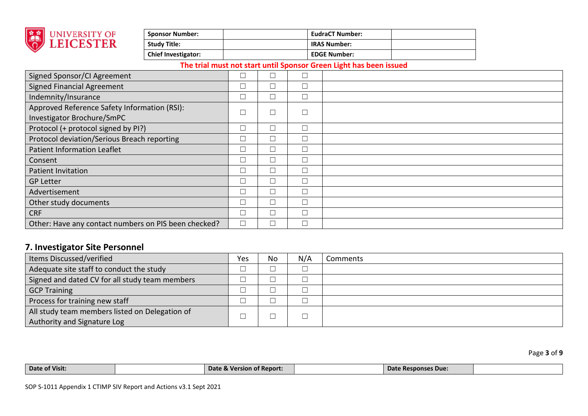

| <b>Sponsor Number:</b>     | <b>EudraCT Number:</b> |  |
|----------------------------|------------------------|--|
| <b>Study Title:</b>        | <b>IRAS Number:</b>    |  |
| <b>Chief Investigator:</b> | <b>EDGE Number:</b>    |  |

| Signed Sponsor/CI Agreement                          |          |        |  |
|------------------------------------------------------|----------|--------|--|
| <b>Signed Financial Agreement</b>                    | $\sqcup$ |        |  |
| Indemnity/Insurance                                  |          |        |  |
| Approved Reference Safety Information (RSI):         | $\Box$   | $\Box$ |  |
| Investigator Brochure/SmPC                           |          |        |  |
| Protocol (+ protocol signed by PI?)                  | $\Box$   |        |  |
| Protocol deviation/Serious Breach reporting          | $\Box$   |        |  |
| Patient Information Leaflet                          | $\Box$   |        |  |
| Consent                                              | $\Box$   |        |  |
| <b>Patient Invitation</b>                            | $\Box$   |        |  |
| <b>GP Letter</b>                                     | $\Box$   |        |  |
| Advertisement                                        | $\Box$   |        |  |
| Other study documents                                | $\Box$   |        |  |
| <b>CRF</b>                                           | $\Box$   | ┓      |  |
| Other: Have any contact numbers on PIS been checked? | $\Box$   |        |  |

## **7. Investigator Site Personnel**

| Items Discussed/verified                                                      | Yes | No | N/A | Comments |
|-------------------------------------------------------------------------------|-----|----|-----|----------|
| Adequate site staff to conduct the study                                      |     |    |     |          |
| Signed and dated CV for all study team members                                |     |    |     |          |
| <b>GCP Training</b>                                                           |     |    |     |          |
| Process for training new staff                                                | ─   |    |     |          |
| All study team members listed on Delegation of<br>Authority and Signature Log |     |    |     |          |

Page **3** of **9**

| Date of Visit: | <b>Version of Report:</b><br>Date & Vers | ate Responses Due:<br>- Dalt |  |
|----------------|------------------------------------------|------------------------------|--|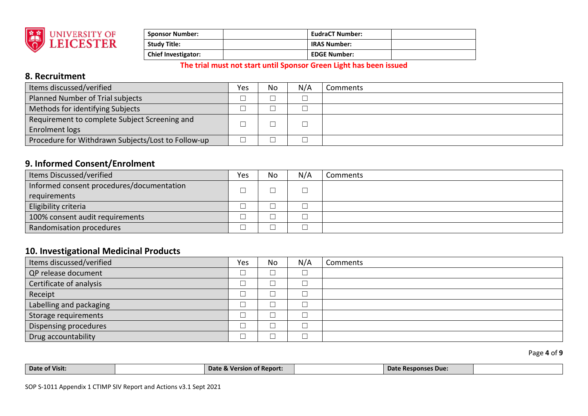

| <b>Sponsor Number:</b>     | <b>EudraCT Number:</b> |  |
|----------------------------|------------------------|--|
| <b>Study Title:</b>        | <b>IRAS Number:</b>    |  |
| <b>Chief Investigator:</b> | <b>EDGE Number:</b>    |  |

## **8. Recruitment**

| Items discussed/verified                           | Yes | No | N/A | Comments |
|----------------------------------------------------|-----|----|-----|----------|
| Planned Number of Trial subjects                   |     |    |     |          |
| Methods for identifying Subjects                   |     |    |     |          |
| Requirement to complete Subject Screening and      |     |    |     |          |
| <b>Enrolment logs</b>                              |     |    |     |          |
| Procedure for Withdrawn Subjects/Lost to Follow-up |     |    |     |          |

## **9. Informed Consent/Enrolment**

| Items Discussed/verified                  | Yes | No | N/A | Comments |
|-------------------------------------------|-----|----|-----|----------|
| Informed consent procedures/documentation |     |    |     |          |
| requirements                              |     |    |     |          |
| Eligibility criteria                      |     |    |     |          |
| 100% consent audit requirements           |     |    |     |          |
| Randomisation procedures                  |     |    |     |          |

### **10. Investigational Medicinal Products**

| Items discussed/verified | Yes | No | N/A | Comments |
|--------------------------|-----|----|-----|----------|
| QP release document      | ─   |    |     |          |
| Certificate of analysis  | ─   |    |     |          |
| Receipt                  |     |    |     |          |
| Labelling and packaging  |     |    |     |          |
| Storage requirements     | –   |    |     |          |
| Dispensing procedures    | ─   |    |     |          |
| Drug accountability      |     |    |     |          |

Page **4** of **9**

| Date of Visit: | Date & Version of Report: | e Responses Due:<br><b>Date</b> |  |
|----------------|---------------------------|---------------------------------|--|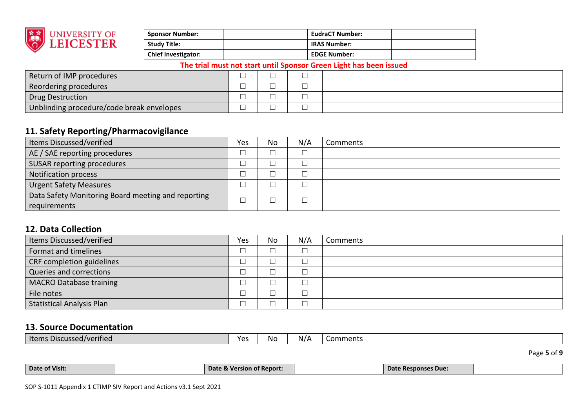

| <b>Sponsor Number:</b>     | <b>EudraCT Number:</b> |  |
|----------------------------|------------------------|--|
| <b>Study Title:</b>        | <b>IRAS Number:</b>    |  |
| <b>Chief Investigator:</b> | <b>EDGE Number:</b>    |  |

| Return of IMP procedures                  | $\sim$ |  |
|-------------------------------------------|--------|--|
| Reordering procedures                     |        |  |
| Drug Destruction                          |        |  |
| Unblinding procedure/code break envelopes | _      |  |

## **11. Safety Reporting/Pharmacovigilance**

| Items Discussed/verified                           | Yes | No | N/A | Comments |
|----------------------------------------------------|-----|----|-----|----------|
| AE / SAE reporting procedures                      |     |    |     |          |
| SUSAR reporting procedures                         |     |    |     |          |
| <b>Notification process</b>                        |     |    |     |          |
| <b>Urgent Safety Measures</b>                      |     |    |     |          |
| Data Safety Monitoring Board meeting and reporting |     |    |     |          |
| requirements                                       |     |    |     |          |

## **12. Data Collection**

| Items Discussed/verified         | Yes | No | N/A | Comments |
|----------------------------------|-----|----|-----|----------|
| Format and timelines             | ─   |    |     |          |
| CRF completion guidelines        |     |    |     |          |
| Queries and corrections          | └   |    |     |          |
| <b>MACRO Database training</b>   |     |    |     |          |
| File notes                       | ─   |    |     |          |
| <b>Statistical Analysis Plan</b> |     |    |     |          |

### **13. Source Documentation**

|--|

Page **5** of **9**

| Date of Visit: | Date &<br>ersion of Report:<br><b>Marc</b> | ፥ Responses Due:<br><b>Date</b> |  |
|----------------|--------------------------------------------|---------------------------------|--|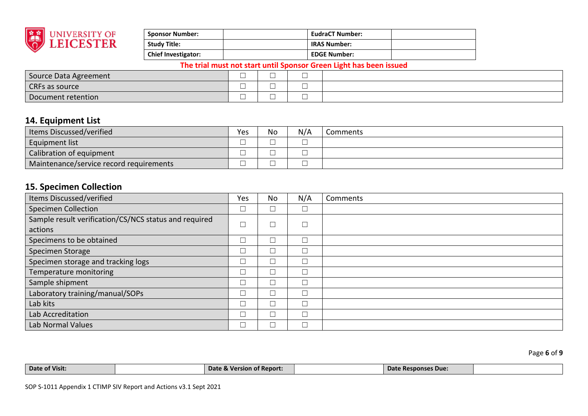

| <b>Sponsor Number:</b>     | <b>EudraCT Number:</b> |  |
|----------------------------|------------------------|--|
| Study Title:               | <b>IRAS Number:</b>    |  |
| <b>Chief Investigator:</b> | <b>EDGE Number:</b>    |  |

| Source Data Agreement | 一                             | _<br>_   | $\overline{\phantom{a}}$      |  |
|-----------------------|-------------------------------|----------|-------------------------------|--|
| CRFs as source        | $\overline{\phantom{a}}$<br>一 | ___<br>─ | $\overline{\phantom{a}}$<br>─ |  |
| Document retention    | $-$<br>一                      | ___<br>_ | _<br>_                        |  |

## **14. Equipment List**

| I Items Discussed/verified              | Yes     | No     | N/A | :omments |
|-----------------------------------------|---------|--------|-----|----------|
| <b>Equipment list</b>                   | _<br>__ | –<br>_ |     |          |
| Calibration of equipment                |         | _      |     |          |
| Maintenance/service record requirements | _       | _      |     |          |

## **15. Specimen Collection**

| Items Discussed/verified                              | Yes    | No     | N/A | Comments |
|-------------------------------------------------------|--------|--------|-----|----------|
| <b>Specimen Collection</b>                            | $\Box$ | $\Box$ |     |          |
| Sample result verification/CS/NCS status and required |        | $\Box$ |     |          |
| actions                                               |        |        |     |          |
| Specimens to be obtained                              |        | $\Box$ |     |          |
| Specimen Storage                                      |        | $\Box$ |     |          |
| Specimen storage and tracking logs                    |        | $\Box$ |     |          |
| Temperature monitoring                                |        |        |     |          |
| Sample shipment                                       |        | $\Box$ |     |          |
| Laboratory training/manual/SOPs                       |        | $\Box$ |     |          |
| Lab kits                                              |        | Г      |     |          |
| Lab Accreditation                                     |        | $\Box$ |     |          |
| Lab Normal Values                                     |        |        |     |          |

Page **6** of **9**

| Date of Visit: | Date & Version of Report: | Date Responses Due:<br>vale |  |
|----------------|---------------------------|-----------------------------|--|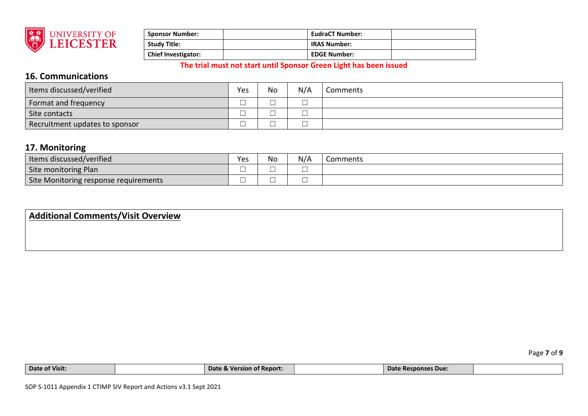

| <b>Sponsor Number:</b>     | <b>EudraCT Number:</b> |  |
|----------------------------|------------------------|--|
| Study Title:               | <b>IRAS Number:</b>    |  |
| <b>Chief Investigator:</b> | <b>EDGE Number:</b>    |  |

## **16. Communications**

| Items discussed/verified       | Yes     | No | N/A | Comments |
|--------------------------------|---------|----|-----|----------|
| Format and frequency           | _       |    |     |          |
| Site contacts                  | —       |    |     |          |
| Recruitment updates to sponsor | _<br>__ |    |     |          |

### **17. Monitoring**

| Items discussed/verified              | Yes | No | N/A | Comments |
|---------------------------------------|-----|----|-----|----------|
| Site monitoring Plan                  | ─   | ─  |     |          |
| Site Monitoring response requirements | ─   | ᅳ  |     |          |

## **Additional Comments/Visit Overview**

| Date of Visit: | $\bullet$<br><b>Date &amp;</b><br>∴ Morr<br>rsion of Report. | Date Responses Due: |  |
|----------------|--------------------------------------------------------------|---------------------|--|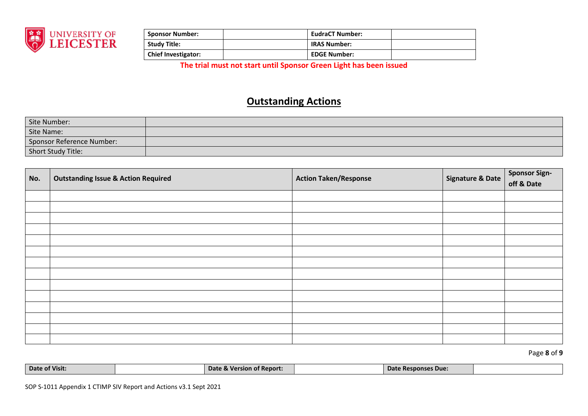

| <b>Sponsor Number:</b>     | EudraCT Number:     |  |
|----------------------------|---------------------|--|
| <b>Study Title:</b>        | <b>IRAS Number:</b> |  |
| <b>Chief Investigator:</b> | <b>EDGE Number:</b> |  |

# **Outstanding Actions**

| Site Number:              |  |
|---------------------------|--|
| Site Name:                |  |
| Sponsor Reference Number: |  |
| Short Study Title:        |  |

| No. | <b>Outstanding Issue &amp; Action Required</b> | <b>Action Taken/Response</b> | <b>Signature &amp; Date</b> | <b>Sponsor Sign-</b><br>off & Date |
|-----|------------------------------------------------|------------------------------|-----------------------------|------------------------------------|
|     |                                                |                              |                             |                                    |
|     |                                                |                              |                             |                                    |
|     |                                                |                              |                             |                                    |
|     |                                                |                              |                             |                                    |
|     |                                                |                              |                             |                                    |
|     |                                                |                              |                             |                                    |
|     |                                                |                              |                             |                                    |
|     |                                                |                              |                             |                                    |
|     |                                                |                              |                             |                                    |
|     |                                                |                              |                             |                                    |
|     |                                                |                              |                             |                                    |
|     |                                                |                              |                             |                                    |
|     |                                                |                              |                             |                                    |
|     |                                                |                              |                             |                                    |

Page **8** of **9**

| Date of Visit: | Date<br>े & Version of Report. | Date <b>D</b><br>: Responses Due: |  |
|----------------|--------------------------------|-----------------------------------|--|